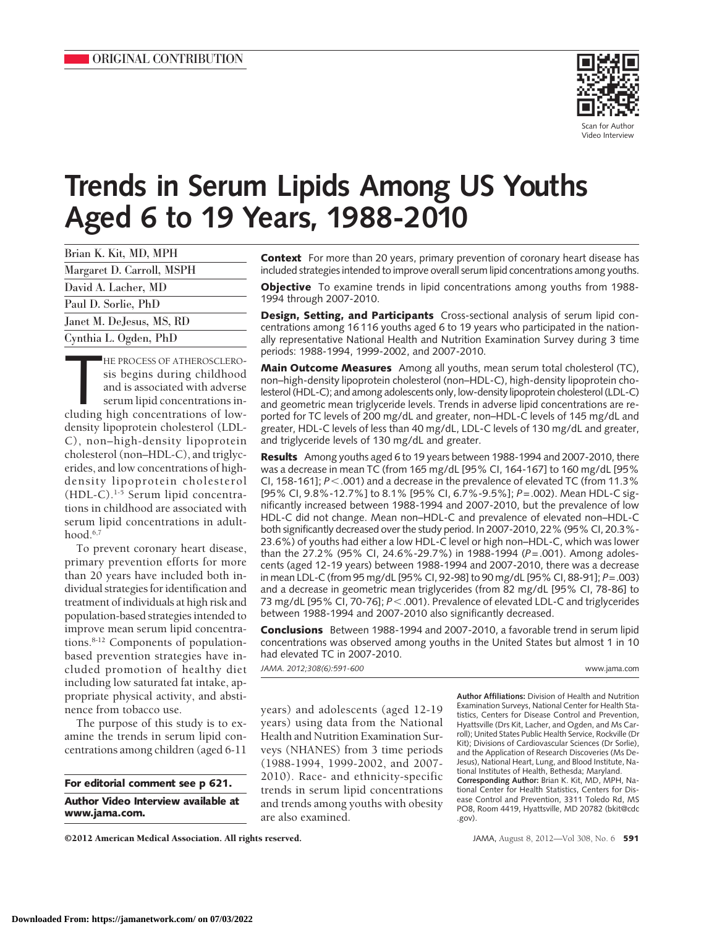

Scan for Autho Video Interview

# **Trends in Serum Lipids Among US Youths Aged 6 to 19 Years, 1988-2010**

| Brian K. Kit, MD, MPH     |
|---------------------------|
| Margaret D. Carroll, MSPH |
| David A. Lacher, MD       |
| Paul D. Sorlie, PhD       |
| Janet M. DeJesus, MS, RD  |
| Cynthia L. Ogden, PhD     |
|                           |

HE PROCESS OF ATHEROSCLERO-<br>sis begins during childhood<br>and is associated with adverse<br>serum lipid concentrations in-<br>cluding high concentrations of low-HE PROCESS OF ATHEROSCLEROsis begins during childhood and is associated with adverse serum lipid concentrations indensity lipoprotein cholesterol (LDL-C), non–high-density lipoprotein cholesterol (non–HDL-C), and triglycerides, and low concentrations of highdensity lipoprotein cholesterol (HDL-C).1-5 Serum lipid concentrations in childhood are associated with serum lipid concentrations in adulthood.<sup>6,7</sup>

To prevent coronary heart disease, primary prevention efforts for more than 20 years have included both individual strategies for identification and treatment of individuals at high risk and population-based strategies intended to improve mean serum lipid concentrations.<sup>8-12</sup> Components of populationbased prevention strategies have included promotion of healthy diet including low saturated fat intake, appropriate physical activity, and abstinence from tobacco use.

The purpose of this study is to examine the trends in serum lipid concentrations among children (aged 6-11

©2012 American Medical Association. All rights reserved. JAMA, August 8, 2012—Vol 308, No. 6 **591**

**Context** For more than 20 years, primary prevention of coronary heart disease has included strategies intended to improve overall serum lipid concentrations among youths.

**Objective** To examine trends in lipid concentrations among youths from 1988-1994 through 2007-2010.

**Design, Setting, and Participants** Cross-sectional analysis of serum lipid concentrations among 16 116 youths aged 6 to 19 years who participated in the nationally representative National Health and Nutrition Examination Survey during 3 time periods: 1988-1994, 1999-2002, and 2007-2010.

**Main Outcome Measures** Among all youths, mean serum total cholesterol (TC), non–high-density lipoprotein cholesterol (non–HDL-C), high-density lipoprotein cholesterol (HDL-C); and among adolescents only, low-density lipoprotein cholesterol (LDL-C) and geometric mean triglyceride levels. Trends in adverse lipid concentrations are reported for TC levels of 200 mg/dL and greater, non–HDL-C levels of 145 mg/dL and greater, HDL-C levels of less than 40 mg/dL, LDL-C levels of 130 mg/dL and greater, and triglyceride levels of 130 mg/dL and greater.

**Results** Among youths aged 6 to 19 years between 1988-1994 and 2007-2010, there was a decrease in mean TC (from 165 mg/dL [95% CI, 164-167] to 160 mg/dL [95% CI, 158-161];  $P < .001$ ) and a decrease in the prevalence of elevated TC (from 11.3% [95% CI, 9.8%-12.7%] to 8.1% [95% CI, 6.7%-9.5%]; *P*=.002). Mean HDL-C significantly increased between 1988-1994 and 2007-2010, but the prevalence of low HDL-C did not change. Mean non–HDL-C and prevalence of elevated non–HDL-C both significantly decreased over the study period. In 2007-2010, 22% (95% CI, 20.3%- 23.6%) of youths had either a low HDL-C level or high non–HDL-C, which was lower than the 27.2% (95% CI, 24.6%-29.7%) in 1988-1994 (*P*=.001). Among adolescents (aged 12-19 years) between 1988-1994 and 2007-2010, there was a decrease in mean LDL-C (from 95 mg/dL [95% CI, 92-98] to 90 mg/dL [95% CI, 88-91]; *P*=.003) and a decrease in geometric mean triglycerides (from 82 mg/dL [95% CI, 78-86] to 73 mg/dL [95% CI, 70-76]; *P*-.001). Prevalence of elevated LDL-C and triglycerides between 1988-1994 and 2007-2010 also significantly decreased.

**Conclusions** Between 1988-1994 and 2007-2010, a favorable trend in serum lipid concentrations was observed among youths in the United States but almost 1 in 10 had elevated TC in 2007-2010.

*JAMA. 2012;308(6):591-600* www.jama.com

years) and adolescents (aged 12-19 years) using data from the National Health and Nutrition Examination Surveys (NHANES) from 3 time periods (1988-1994, 1999-2002, and 2007- 2010). Race- and ethnicity-specific trends in serum lipid concentrations and trends among youths with obesity are also examined.

**Author Affiliations:** Division of Health and Nutrition Examination Surveys, National Center for Health Statistics, Centers for Disease Control and Prevention, Hyattsville (Drs Kit, Lacher, and Ogden, and Ms Carroll); United States Public Health Service, Rockville (Dr Kit); Divisions of Cardiovascular Sciences (Dr Sorlie), and the Application of Research Discoveries (Ms De-Jesus), National Heart, Lung, and Blood Institute, National Institutes of Health, Bethesda; Maryland. **Corresponding Author:** Brian K. Kit, MD, MPH, National Center for Health Statistics, Centers for Disease Control and Prevention, 3311 Toledo Rd, MS PO8, Room 4419, Hyattsville, MD 20782 (bkit@cdc .gov).

**For editorial comment see p 621. Author Video Interview available at www.jama.com.**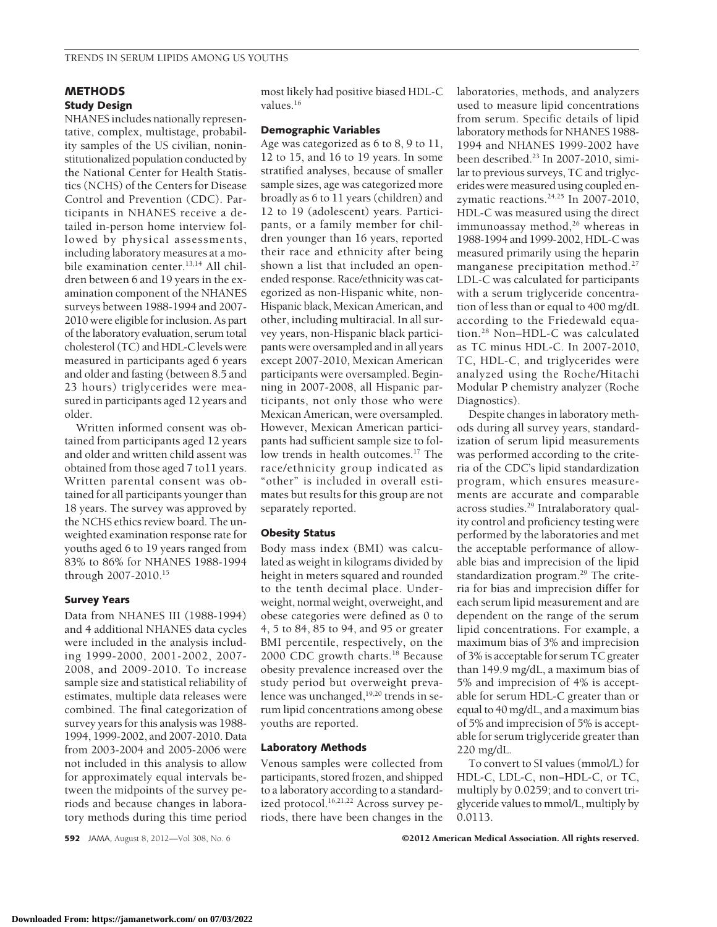# **METHODS Study Design**

NHANES includes nationally representative, complex, multistage, probability samples of the US civilian, noninstitutionalized population conducted by the National Center for Health Statistics (NCHS) of the Centers for Disease Control and Prevention (CDC). Participants in NHANES receive a detailed in-person home interview followed by physical assessments, including laboratory measures at a mobile examination center.<sup>13,14</sup> All children between 6 and 19 years in the examination component of the NHANES surveys between 1988-1994 and 2007- 2010 were eligible for inclusion. As part of the laboratory evaluation, serum total cholesterol (TC) and HDL-C levels were measured in participants aged 6 years and older and fasting (between 8.5 and 23 hours) triglycerides were measured in participants aged 12 years and older.

Written informed consent was obtained from participants aged 12 years and older and written child assent was obtained from those aged 7 to11 years. Written parental consent was obtained for all participants younger than 18 years. The survey was approved by the NCHS ethics review board. The unweighted examination response rate for youths aged 6 to 19 years ranged from 83% to 86% for NHANES 1988-1994 through 2007-2010.15

# **Survey Years**

Data from NHANES III (1988-1994) and 4 additional NHANES data cycles were included in the analysis including 1999-2000, 2001-2002, 2007- 2008, and 2009-2010. To increase sample size and statistical reliability of estimates, multiple data releases were combined. The final categorization of survey years for this analysis was 1988- 1994, 1999-2002, and 2007-2010. Data from 2003-2004 and 2005-2006 were not included in this analysis to allow for approximately equal intervals between the midpoints of the survey periods and because changes in laboratory methods during this time period

most likely had positive biased HDL-C values.16

## **Demographic Variables**

Age was categorized as 6 to 8, 9 to 11, 12 to 15, and 16 to 19 years. In some stratified analyses, because of smaller sample sizes, age was categorized more broadly as 6 to 11 years (children) and 12 to 19 (adolescent) years. Participants, or a family member for children younger than 16 years, reported their race and ethnicity after being shown a list that included an openended response. Race/ethnicity was categorized as non-Hispanic white, non-Hispanic black, Mexican American, and other, including multiracial. In all survey years, non-Hispanic black participants were oversampled and in all years except 2007-2010, Mexican American participants were oversampled. Beginning in 2007-2008, all Hispanic participants, not only those who were Mexican American, were oversampled. However, Mexican American participants had sufficient sample size to follow trends in health outcomes.<sup>17</sup> The race/ethnicity group indicated as "other" is included in overall estimates but results for this group are not separately reported.

## **Obesity Status**

Body mass index (BMI) was calculated as weight in kilograms divided by height in meters squared and rounded to the tenth decimal place. Underweight, normal weight, overweight, and obese categories were defined as 0 to 4, 5 to 84, 85 to 94, and 95 or greater BMI percentile, respectively, on the 2000 CDC growth charts.18 Because obesity prevalence increased over the study period but overweight prevalence was unchanged,<sup>19,20</sup> trends in serum lipid concentrations among obese youths are reported.

### **Laboratory Methods**

Venous samples were collected from participants, stored frozen, and shipped to a laboratory according to a standardized protocol.<sup>16,21,22</sup> Across survey periods, there have been changes in the laboratories, methods, and analyzers used to measure lipid concentrations from serum. Specific details of lipid laboratory methods for NHANES 1988- 1994 and NHANES 1999-2002 have been described.23 In 2007-2010, similar to previous surveys, TC and triglycerides were measured using coupled enzymatic reactions. $24,25$  In 2007-2010, HDL-C was measured using the direct immunoassay method,<sup>26</sup> whereas in 1988-1994 and 1999-2002, HDL-C was measured primarily using the heparin manganese precipitation method.<sup>27</sup> LDL-C was calculated for participants with a serum triglyceride concentration of less than or equal to 400 mg/dL according to the Friedewald equation.28 Non–HDL-C was calculated as TC minus HDL-C. In 2007-2010, TC, HDL-C, and triglycerides were analyzed using the Roche/Hitachi Modular P chemistry analyzer (Roche Diagnostics).

Despite changes in laboratory methods during all survey years, standardization of serum lipid measurements was performed according to the criteria of the CDC's lipid standardization program, which ensures measurements are accurate and comparable across studies.29 Intralaboratory quality control and proficiency testing were performed by the laboratories and met the acceptable performance of allowable bias and imprecision of the lipid standardization program.<sup>29</sup> The criteria for bias and imprecision differ for each serum lipid measurement and are dependent on the range of the serum lipid concentrations. For example, a maximum bias of 3% and imprecision of 3% is acceptable for serum TC greater than 149.9 mg/dL, a maximum bias of 5% and imprecision of 4% is acceptable for serum HDL-C greater than or equal to 40 mg/dL, and a maximum bias of 5% and imprecision of 5% is acceptable for serum triglyceride greater than 220 mg/dL.

To convert to SI values (mmol/L) for HDL-C, LDL-C, non−HDL-C, or TC, multiply by 0.0259; and to convert triglyceride values to mmol/L, multiply by 0.0113.

**592** JAMA, August 8, 2012—Vol 308, No. 6 **Case Concernsion Community C2012 American Medical Association. All rights reserved.**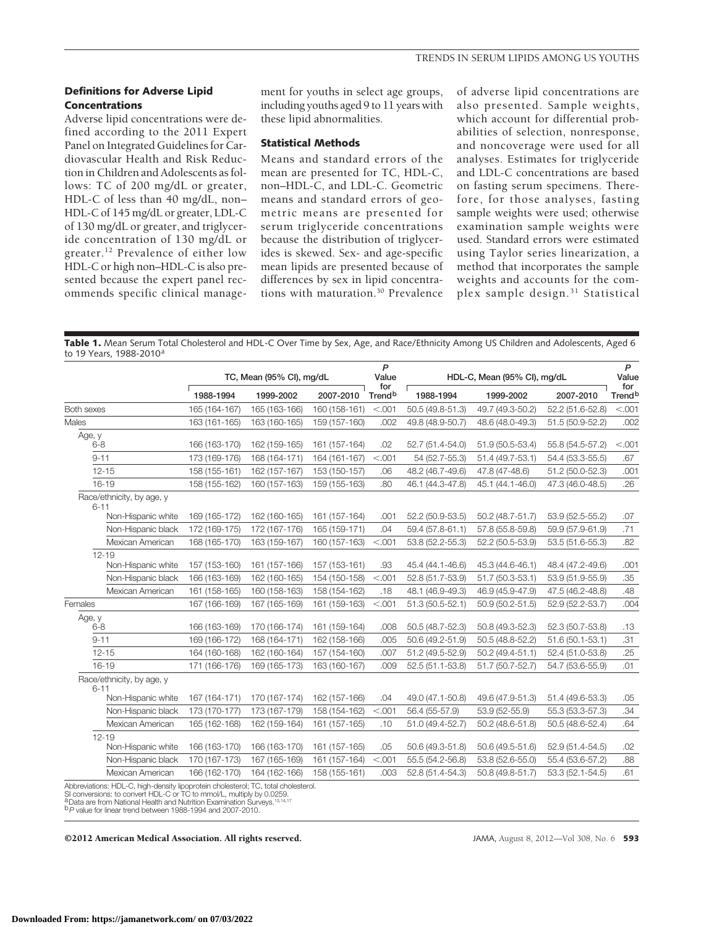# **Definitions for Adverse Lipid Concentrations**

Adverse lipid concentrations were defined according to the 2011 Expert Panel on Integrated Guidelines for Cardiovascular Health and Risk Reduction in Children and Adolescents as follows: TC of 200 mg/dL or greater, HDL-C of less than 40 mg/dL, non– HDL-C of 145 mg/dL or greater, LDL-C of 130 mg/dL or greater, and triglyceride concentration of 130 mg/dL or greater.12 Prevalence of either low HDL-C or high non–HDL-C is also presented because the expert panel recommends specific clinical management for youths in select age groups, including youths aged 9 to 11 years with these lipid abnormalities.

# **Statistical Methods**

Means and standard errors of the mean are presented for TC, HDL-C, non–HDL-C, and LDL-C. Geometric means and standard errors of geometric means are presented for serum triglyceride concentrations because the distribution of triglycerides is skewed. Sex- and age-specific mean lipids are presented because of differences by sex in lipid concentrations with maturation.30 Prevalence

of adverse lipid concentrations are also presented. Sample weights, which account for differential probabilities of selection, nonresponse, and noncoverage were used for all analyses. Estimates for triglyceride and LDL-C concentrations are based on fasting serum specimens. Therefore, for those analyses, fasting sample weights were used; otherwise examination sample weights were used. Standard errors were estimated using Taylor series linearization, a method that incorporates the sample weights and accounts for the complex sample design.31 Statistical

**Table 1.** Mean Serum Total Cholesterol and HDL-C Over Time by Sex, Age, and Race/Ethnicity Among US Children and Adolescents, Aged 6 to 19 Years, 1988-2010<sup>a</sup>

|                                       | TC, Mean (95% CI), mg/dL |               |               | P<br>Value                | HDL-C, Mean (95% CI), mg/dL |                     |                     | P<br>Value                |
|---------------------------------------|--------------------------|---------------|---------------|---------------------------|-----------------------------|---------------------|---------------------|---------------------------|
|                                       | 1988-1994                | 1999-2002     | 2007-2010     | for<br>Trend <sup>b</sup> | 1988-1994                   | 1999-2002           | 2007-2010           | for<br>Trend <sup>b</sup> |
| Both sexes                            | 165 (164-167)            | 165 (163-166) | 160 (158-161) | < .001                    | 50.5 (49.8-51.3)            | 49.7 (49.3-50.2)    | 52.2 (51.6-52.8)    | < .001                    |
| Males                                 | 163 (161-165)            | 163 (160-165) | 159 (157-160) | .002                      | 49.8 (48.9-50.7)            | 48.6 (48.0-49.3)    | 51.5 (50.9-52.2)    | .002                      |
| Age, y<br>$6 - 8$                     | 166 (163-170)            | 162 (159-165) | 161 (157-164) | .02                       | 52.7 (51.4-54.0)            | 51.9 (50.5-53.4)    | 55.8 (54.5-57.2)    | < .001                    |
| $9 - 11$                              | 173 (169-176)            | 168 (164-171) | 164 (161-167) | < .001                    | 54 (52.7-55.3)              | 51.4 (49.7-53.1)    | 54.4 (53.3-55.5)    | .67                       |
| $12 - 15$                             | 158 (155-161)            | 162 (157-167) | 153 (150-157) | .06                       | 48.2 (46.7-49.6)            | 47.8 (47-48.6)      | 51.2 (50.0-52.3)    | .001                      |
| $16 - 19$                             | 158 (155-162)            | 160 (157-163) | 159 (155-163) | .80                       | 46.1 (44.3-47.8)            | 45.1 (44.1-46.0)    | 47.3 (46.0-48.5)    | .26                       |
| Race/ethnicity, by age, y<br>$6 - 11$ |                          |               |               |                           |                             |                     |                     |                           |
| Non-Hispanic white                    | 169 (165-172)            | 162 (160-165) | 161 (157-164) | .001                      | 52.2 (50.9-53.5)            | 50.2 (48.7-51.7)    | 53.9 (52.5-55.2)    | .07                       |
| Non-Hispanic black                    | 172 (169-175)            | 172 (167-176) | 165 (159-171) | .04                       | 59.4 (57.8-61.1)            | 57.8 (55.8-59.8)    | 59.9 (57.9-61.9)    | .71                       |
| Mexican American                      | 168 (165-170)            | 163 (159-167) | 160 (157-163) | < .001                    | 53.8 (52.2-55.3)            | 52.2 (50.5-53.9)    | 53.5 (51.6-55.3)    | .82                       |
| $12 - 19$<br>Non-Hispanic white       | 157 (153-160)            | 161 (157-166) | 157 (153-161) | .93                       | 45.4 (44.1-46.6)            | 45.3 (44.6-46.1)    | 48.4 (47.2-49.6)    | .001                      |
| Non-Hispanic black                    | 166 (163-169)            | 162 (160-165) | 154 (150-158) | < .001                    | 52.8 (51.7-53.9)            | 51.7 (50.3-53.1)    | 53.9 (51.9-55.9)    | .35                       |
| Mexican American                      | 161 (158-165)            | 160 (158-163) | 158 (154-162) | .18                       | 48.1 (46.9-49.3)            | 46.9 (45.9-47.9)    | 47.5 (46.2-48.8)    | .48                       |
| Females                               | 167 (166-169)            | 167 (165-169) | 161 (159-163) | < .001                    | $51.3(50.5-52.1)$           | $50.9(50.2 - 51.5)$ | 52.9 (52.2-53.7)    | .004                      |
| Age, y<br>$6 - 8$                     | 166 (163-169)            | 170 (166-174) | 161 (159-164) | .008                      | 50.5 (48.7-52.3)            | 50.8 (49.3-52.3)    | 52.3 (50.7-53.8)    | .13                       |
| $9 - 11$                              | 169 (166-172)            | 168 (164-171) | 162 (158-166) | .005                      | 50.6 (49.2-51.9)            | 50.5 (48.8-52.2)    | $51.6(50.1 - 53.1)$ | .31                       |
| $12 - 15$                             | 164 (160-168)            | 162 (160-164) | 157 (154-160) | .007                      | 51.2 (49.5-52.9)            | $50.2(49.4 - 51.1)$ | 52.4 (51.0-53.8)    | .25                       |
| $16 - 19$                             | 171 (166-176)            | 169 (165-173) | 163 (160-167) | .009                      | 52.5 (51.1-53.8)            | 51.7 (50.7-52.7)    | 54.7 (53.6-55.9)    | .01                       |
| Race/ethnicity, by age, y<br>$6 - 11$ |                          |               |               |                           |                             |                     |                     |                           |
| Non-Hispanic white                    | 167 (164-171)            | 170 (167-174) | 162 (157-166) | .04                       | 49.0 (47.1-50.8)            | 49.6 (47.9-51.3)    | 51.4 (49.6-53.3)    | .05                       |
| Non-Hispanic black                    | 173 (170-177)            | 173 (167-179) | 158 (154-162) | < 0.001                   | 56.4 (55-57.9)              | 53.9 (52-55.9)      | 55.3 (53.3-57.3)    | .34                       |
| Mexican American                      | 165 (162-168)            | 162 (159-164) | 161 (157-165) | .10                       | 51.0 (49.4-52.7)            | 50.2 (48.6-51.8)    | 50.5 (48.6-52.4)    | .64                       |
| $12 - 19$<br>Non-Hispanic white       | 166 (163-170)            | 166 (163-170) | 161 (157-165) | .05                       | 50.6 (49.3-51.8)            | 50.6 (49.5-51.6)    | 52.9 (51.4-54.5)    | .02                       |
| Non-Hispanic black                    | 170 (167-173)            | 167 (165-169) | 161 (157-164) | < .001                    | 55.5 (54.2-56.8)            | 53.8 (52.6-55.0)    | 55.4 (53.6-57.2)    | .88                       |
| Mexican American                      | 166 (162-170)            | 164 (162-166) | 158 (155-161) | .003                      | 52.8 (51.4-54.3)            | 50.8 (49.8-51.7)    | 53.3 (52.1-54.5)    | .61                       |

SI conversions: to convert HDL-C or TC to mmol/L, multiply by 0.0259.<br><sup>a</sup> Data are from National Health and Nutrition Examination Surveys.<sup>13,14,17</sup>

b*P* value for linear trend between 1988-1994 and 2007-2010.

©2012 American Medical Association. All rights reserved. JAMA, August 8, 2012—Vol 308, No. 6 **593**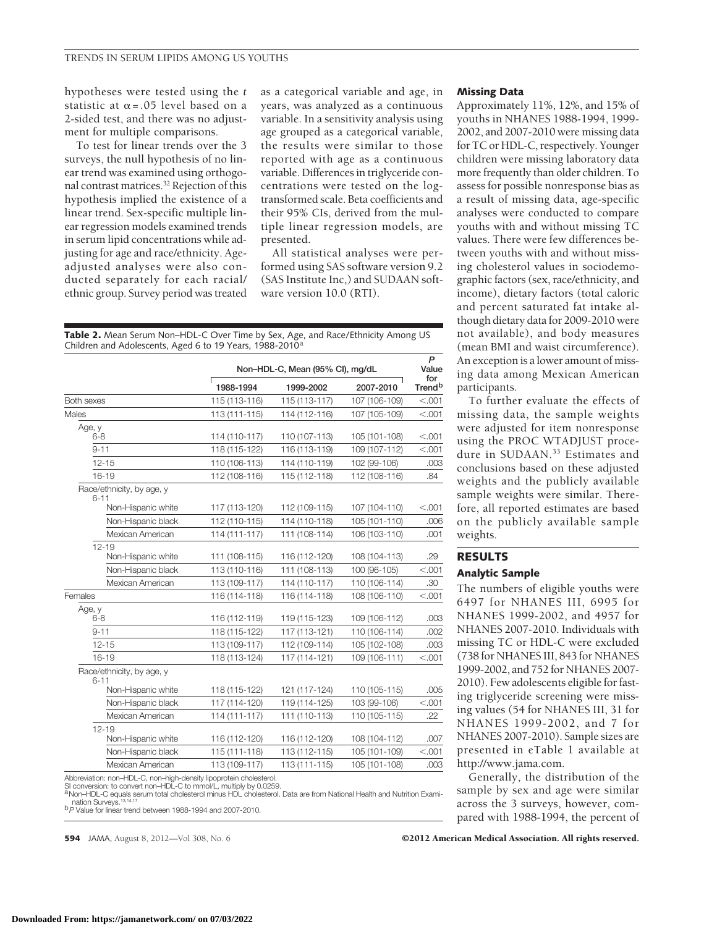hypotheses were tested using the *t* statistic at  $\alpha$ =.05 level based on a 2-sided test, and there was no adjustment for multiple comparisons.

To test for linear trends over the 3 surveys, the null hypothesis of no linear trend was examined using orthogonal contrast matrices.32 Rejection of this hypothesis implied the existence of a linear trend. Sex-specific multiple linear regression models examined trends in serum lipid concentrations while adjusting for age and race/ethnicity. Ageadjusted analyses were also conducted separately for each racial/ ethnic group. Survey period was treated

as a categorical variable and age, in years, was analyzed as a continuous variable. In a sensitivity analysis using age grouped as a categorical variable, the results were similar to those reported with age as a continuous variable. Differences in triglyceride concentrations were tested on the logtransformed scale. Beta coefficients and their 95% CIs, derived from the multiple linear regression models, are presented.

All statistical analyses were performed using SAS software version 9.2 (SAS Institute Inc,) and SUDAAN software version 10.0 (RTI).

**Table 2.** Mean Serum Non–HDL-C Over Time by Sex, Age, and Race/Ethnicity Among US Children and Adolescents, Aged 6 to 19 Years, 1988-2010<sup>8</sup>

|                                                                   |               | Non-HDL-C, Mean (95% CI), mg/dL |               |                           |  |  |  |
|-------------------------------------------------------------------|---------------|---------------------------------|---------------|---------------------------|--|--|--|
|                                                                   | 1988-1994     | 1999-2002                       | 2007-2010     | for<br>Trend <sup>b</sup> |  |  |  |
| Both sexes                                                        | 115 (113-116) | 115 (113-117)                   | 107 (106-109) | < .001                    |  |  |  |
| Males                                                             | 113 (111-115) | 114 (112-116)                   | 107 (105-109) | < .001                    |  |  |  |
| Age, y<br>6-8                                                     | 114 (110-117) | 110 (107-113)                   | 105 (101-108) | < 0.001                   |  |  |  |
| $9 - 11$                                                          | 118 (115-122) | 116 (113-119)                   | 109 (107-112) | < 0.001                   |  |  |  |
| $12 - 15$                                                         | 110 (106-113) | 114 (110-119)                   | 102 (99-106)  | .003                      |  |  |  |
| $16 - 19$                                                         | 112 (108-116) | 115 (112-118)                   | 112 (108-116) | .84                       |  |  |  |
| Race/ethnicity, by age, y<br>$6 - 11$                             |               |                                 |               |                           |  |  |  |
| Non-Hispanic white                                                | 117 (113-120) | 112 (109-115)                   | 107 (104-110) | < 0.001                   |  |  |  |
| Non-Hispanic black                                                | 112 (110-115) | 114 (110-118)                   | 105 (101-110) | .006                      |  |  |  |
| Mexican American                                                  | 114 (111-117) | 111 (108-114)                   | 106 (103-110) | .001                      |  |  |  |
| $12 - 19$<br>Non-Hispanic white                                   | 111 (108-115) | 116 (112-120)                   | 108 (104-113) | .29                       |  |  |  |
| Non-Hispanic black                                                | 113 (110-116) | 111 (108-113)                   | 100 (96-105)  | < .001                    |  |  |  |
| Mexican American                                                  | 113 (109-117) | 114 (110-117)                   | 110 (106-114) | .30                       |  |  |  |
| Females                                                           | 116 (114-118) | 116 (114-118)                   | 108 (106-110) | < .001                    |  |  |  |
| Age, y<br>$6 - 8$                                                 | 116 (112-119) | 119 (115-123)                   | 109 (106-112) | .003                      |  |  |  |
| $9 - 11$                                                          | 118 (115-122) | 117 (113-121)                   | 110 (106-114) | .002                      |  |  |  |
| $12 - 15$                                                         | 113 (109-117) | 112 (109-114)                   | 105 (102-108) | .003                      |  |  |  |
| $16 - 19$                                                         | 118 (113-124) | 117 (114-121)                   | 109 (106-111) | < .001                    |  |  |  |
| Race/ethnicity, by age, y<br>$6 - 11$                             |               |                                 |               |                           |  |  |  |
| Non-Hispanic white                                                | 118 (115-122) | 121 (117-124)                   | 110 (105-115) | .005                      |  |  |  |
| Non-Hispanic black                                                | 117 (114-120) | 119 (114-125)                   | 103 (99-106)  | < 0.001                   |  |  |  |
| Mexican American                                                  | 114 (111-117) | 111 (110-113)                   | 110 (105-115) | .22                       |  |  |  |
| $12 - 19$<br>Non-Hispanic white                                   | 116 (112-120) | 116 (112-120)                   | 108 (104-112) | .007                      |  |  |  |
| Non-Hispanic black                                                | 115 (111-118) | 113 (112-115)                   | 105 (101-109) | < 0.001                   |  |  |  |
| Mexican American                                                  | 113 (109-117) | 113 (111-115)                   | 105 (101-108) | .003                      |  |  |  |
| Abbreviation: non-HDL-C, non-high-density linoprotein cholesterol |               |                                 |               |                           |  |  |  |

Abbreviation: non–HDL-C, non–high-density lipoprotein cholesterol.<br>SI conversion: to convert non–HDL-C to mmol/L, multiply by 0.0259.<br><sup>4</sup> Non–HDL-C equals serum total cholesterol minus HDL cholesterol. Data are from Nation

#### **Missing Data**

Approximately 11%, 12%, and 15% of youths in NHANES 1988-1994, 1999- 2002, and 2007-2010 were missing data for TC or HDL-C, respectively. Younger children were missing laboratory data more frequently than older children. To assess for possible nonresponse bias as a result of missing data, age-specific analyses were conducted to compare youths with and without missing TC values. There were few differences between youths with and without missing cholesterol values in sociodemographic factors (sex, race/ethnicity, and income), dietary factors (total caloric and percent saturated fat intake although dietary data for 2009-2010 were not available), and body measures (mean BMI and waist circumference). An exception is a lower amount of missing data among Mexican American participants.

To further evaluate the effects of missing data, the sample weights were adjusted for item nonresponse using the PROC WTADJUST procedure in SUDAAN.<sup>33</sup> Estimates and conclusions based on these adjusted weights and the publicly available sample weights were similar. Therefore, all reported estimates are based on the publicly available sample weights.

# **RESULTS**

# **Analytic Sample**

The numbers of eligible youths were 6497 for NHANES III, 6995 for NHANES 1999-2002, and 4957 for NHANES 2007-2010. Individuals with missing TC or HDL-C were excluded (738 for NHANES III, 843 for NHANES 1999-2002, and 752 for NHANES 2007- 2010). Few adolescents eligible for fasting triglyceride screening were missing values (54 for NHANES III, 31 for NHANES 1999-2002, and 7 for NHANES 2007-2010). Sample sizes are presented in eTable 1 available at http://www.jama.com.

Generally, the distribution of the sample by sex and age were similar across the 3 surveys, however, compared with 1988-1994, the percent of

**594** JAMA, August 8, 2012—Vol 308, No. 6 **Capacition Community COMA** COMBING COMBINATION CONTROLLEDGE OF SEVIDENT CONTROLLEDGE OF SEVIDENT CONTROLLEDGE OF SEVIDENT CONTROLLEDGE OF SEVIDENT CONTROLLEDGE OF SEVIDENT CONTROL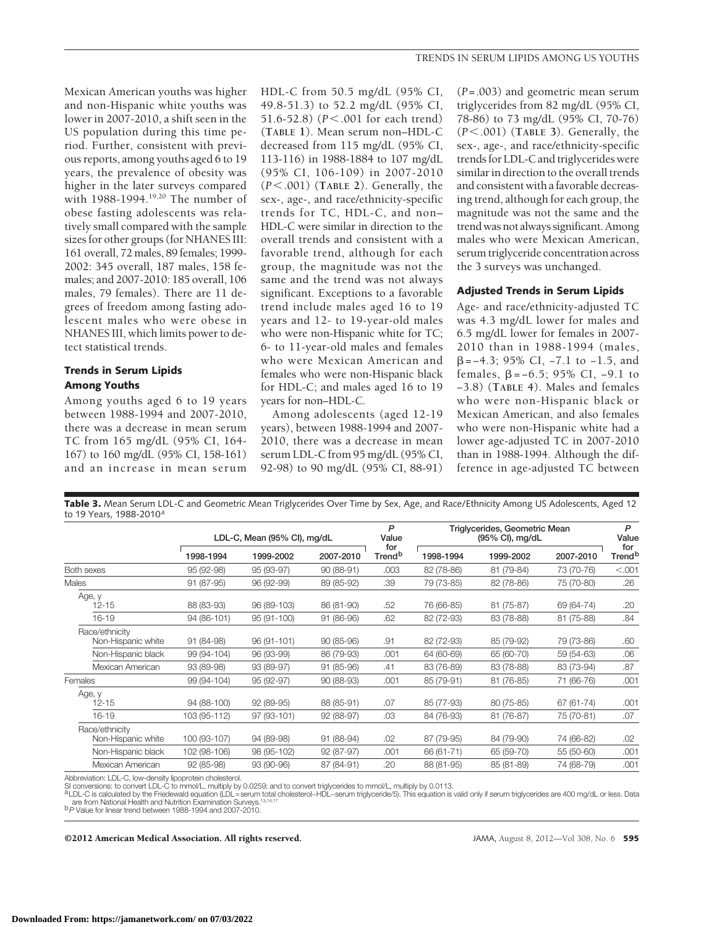Mexican American youths was higher and non-Hispanic white youths was lower in 2007-2010, a shift seen in the US population during this time period. Further, consistent with previous reports, among youths aged 6 to 19 years, the prevalence of obesity was higher in the later surveys compared with 1988-1994.<sup>19,20</sup> The number of obese fasting adolescents was relatively small compared with the sample sizes for other groups (for NHANES III: 161 overall, 72 males, 89 females; 1999- 2002: 345 overall, 187 males, 158 females; and 2007-2010: 185 overall, 106 males, 79 females). There are 11 degrees of freedom among fasting adolescent males who were obese in NHANES III, which limits power to detect statistical trends.

# **Trends in Serum Lipids Among Youths**

Among youths aged 6 to 19 years between 1988-1994 and 2007-2010, there was a decrease in mean serum TC from 165 mg/dL (95% CI, 164- 167) to 160 mg/dL (95% CI, 158-161) and an increase in mean serum

HDL-C from 50.5 mg/dL (95% CI, 49.8-51.3) to 52.2 mg/dL (95% CI, 51.6-52.8) (*P*<.001 for each trend) (**TABLE 1**). Mean serum non–HDL-C decreased from 115 mg/dL (95% CI, 113-116) in 1988-1884 to 107 mg/dL (95% CI, 106-109) in 2007-2010 (*P*-.001) (**TABLE 2**). Generally, the sex-, age-, and race/ethnicity-specific trends for TC, HDL-C, and non– HDL-C were similar in direction to the overall trends and consistent with a favorable trend, although for each group, the magnitude was not the same and the trend was not always significant. Exceptions to a favorable trend include males aged 16 to 19 years and 12- to 19-year-old males who were non-Hispanic white for TC; 6- to 11-year-old males and females who were Mexican American and females who were non-Hispanic black for HDL-C; and males aged 16 to 19 years for non–HDL-C.

Among adolescents (aged 12-19 years), between 1988-1994 and 2007- 2010, there was a decrease in mean serum LDL-C from 95 mg/dL (95% CI, 92-98) to 90 mg/dL (95% CI, 88-91)

(*P*=.003) and geometric mean serum triglycerides from 82 mg/dL (95% CI, 78-86) to 73 mg/dL (95% CI, 70-76) (*P*-.001) (**TABLE 3**). Generally, the sex-, age-, and race/ethnicity-specific trends for LDL-C and triglycerides were similar in direction to the overall trends and consistent with a favorable decreasing trend, although for each group, the magnitude was not the same and the trend was not always significant. Among males who were Mexican American, serum triglyceride concentration across the 3 surveys was unchanged.

## **Adjusted Trends in Serum Lipids**

Age- and race/ethnicity-adjusted TC was 4.3 mg/dL lower for males and 6.5 mg/dL lower for females in 2007- 2010 than in 1988-1994 (males, =−4.3; 95% CI, −7.1 to −1.5, and females,  $\beta$ =−6.5; 95% CI, −9.1 to −3.8) (**TABLE 4**). Males and females who were non-Hispanic black or Mexican American, and also females who were non-Hispanic white had a lower age-adjusted TC in 2007-2010 than in 1988-1994. Although the difference in age-adjusted TC between

**Table 3.** Mean Serum LDL-C and Geometric Mean Triglycerides Over Time by Sex, Age, and Race/Ethnicity Among US Adolescents, Aged 12 to 19 Years, 1988-2010<sup>a</sup>

|                                                           | LDL-C, Mean (95% CI), mg/dL |             |            | P<br>Value                | Triglycerides, Geometric Mean | P<br>Value |            |                           |
|-----------------------------------------------------------|-----------------------------|-------------|------------|---------------------------|-------------------------------|------------|------------|---------------------------|
|                                                           | 1998-1994                   | 1999-2002   | 2007-2010  | for<br>Trend <sup>b</sup> | 1998-1994                     | 1999-2002  | 2007-2010  | for<br>Trend <sup>b</sup> |
| Both sexes                                                | 95 (92-98)                  | 95 (93-97)  | 90 (88-91) | .003                      | 82 (78-86)                    | 81 (79-84) | 73 (70-76) | < .001                    |
| Males                                                     | 91 (87-95)                  | 96 (92-99)  | 89 (85-92) | .39                       | 79 (73-85)                    | 82 (78-86) | 75 (70-80) | .26                       |
| Age, y<br>$12 - 15$                                       | 88 (83-93)                  | 96 (89-103) | 86 (81-90) | .52                       | 76 (66-85)                    | 81 (75-87) | 69 (64-74) | .20                       |
| $16 - 19$                                                 | 94 (86-101)                 | 95 (91-100) | 91 (86-96) | .62                       | 82 (72-93)                    | 83 (78-88) | 81 (75-88) | .84                       |
| Race/ethnicity<br>Non-Hispanic white                      | 91 (84-98)                  | 96 (91-101) | 90 (85-96) | .91                       | 82 (72-93)                    | 85 (79-92) | 79 (73-86) | .60                       |
| Non-Hispanic black                                        | 99 (94-104)                 | 96 (93-99)  | 86 (79-93) | .001                      | 64 (60-69)                    | 65 (60-70) | 59 (54-63) | .06                       |
| Mexican American                                          | 93 (89-98)                  | 93 (89-97)  | 91 (85-96) | .41                       | 83 (76-89)                    | 83 (78-88) | 83 (73-94) | .87                       |
| Females                                                   | 99 (94-104)                 | 95 (92-97)  | 90 (88-93) | .001                      | 85 (79-91)                    | 81 (76-85) | 71 (66-76) | .001                      |
| Age, y<br>$12 - 15$                                       | 94 (88-100)                 | 92 (89-95)  | 88 (85-91) | .07                       | 85 (77-93)                    | 80 (75-85) | 67 (61-74) | .001                      |
| $16 - 19$                                                 | 103 (95-112)                | 97 (93-101) | 92 (88-97) | .03                       | 84 (76-93)                    | 81 (76-87) | 75 (70-81) | .07                       |
| Race/ethnicity<br>Non-Hispanic white                      | 100 (93-107)                | 94 (89-98)  | 91 (88-94) | .02                       | 87 (79-95)                    | 84 (79-90) | 74 (66-82) | .02                       |
| Non-Hispanic black                                        | 102 (98-106)                | 98 (95-102) | 92 (87-97) | .001                      | 66 (61-71)                    | 65 (59-70) | 55 (50-60) | .001                      |
| Mexican American                                          | 92 (85-98)                  | 93 (90-96)  | 87 (84-91) | .20                       | 88 (81-95)                    | 85 (81-89) | 74 (68-79) | .001                      |
| Abbreviation: LDL-C, low-density lipoprotein cholesterol. |                             |             |            |                           |                               |            |            |                           |

SI conversions: to convert LDL-C to mmol/L, multiply by 0.0259; and to convert triglycerides to mmol/L, multiply by 0.0113.<br><sup>a</sup>LDL-C is calculated by the Friedewald equation (LDL=serum total cholesterol–HDL–serum triglycer

are from National Health and Nutrition Examination Surveys.13,14,17 b*P* Value for linear trend between 1988-1994 and 2007-2010.

©2012 American Medical Association. All rights reserved. JAMA, August 8, 2012—Vol 308, No. 6 **595**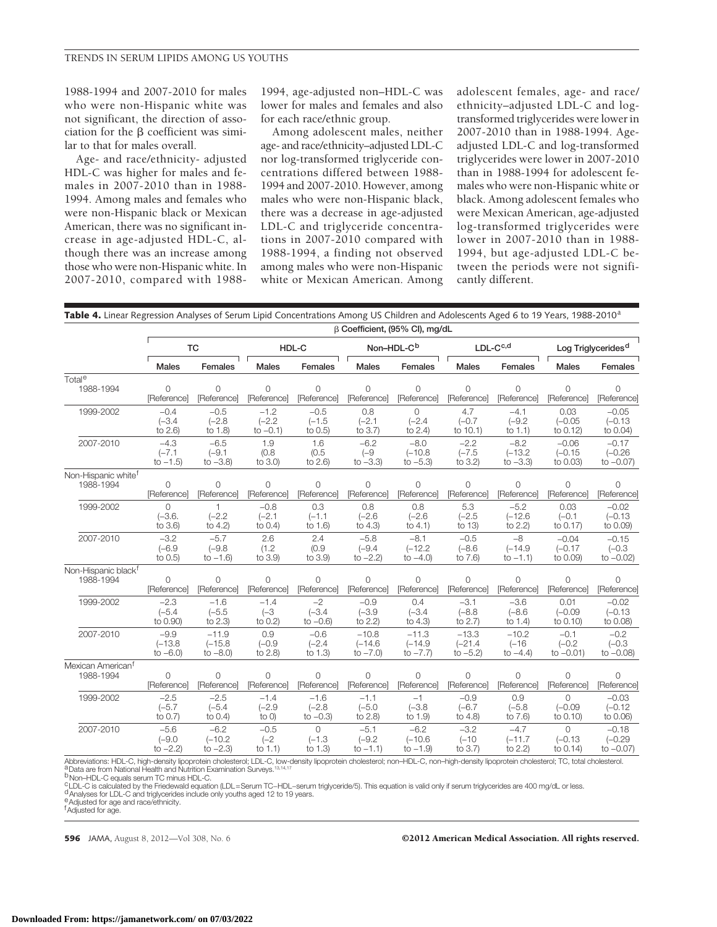1988-1994 and 2007-2010 for males who were non-Hispanic white was not significant, the direction of association for the  $\beta$  coefficient was similar to that for males overall.

Age- and race/ethnicity- adjusted HDL-C was higher for males and females in 2007-2010 than in 1988- 1994. Among males and females who were non-Hispanic black or Mexican American, there was no significant increase in age-adjusted HDL-C, although there was an increase among those who were non-Hispanic white. In 2007-2010, compared with 19881994, age-adjusted non–HDL-C was lower for males and females and also for each race/ethnic group.

Among adolescent males, neither age- and race/ethnicity–adjusted LDL-C nor log-transformed triglyceride concentrations differed between 1988- 1994 and 2007-2010. However, among males who were non-Hispanic black, there was a decrease in age-adjusted LDL-C and triglyceride concentrations in 2007-2010 compared with 1988-1994, a finding not observed among males who were non-Hispanic white or Mexican American. Among adolescent females, age- and race/ ethnicity–adjusted LDL-C and logtransformed triglycerides were lower in 2007-2010 than in 1988-1994. Ageadjusted LDL-C and log-transformed triglycerides were lower in 2007-2010 than in 1988-1994 for adolescent females who were non-Hispanic white or black. Among adolescent females who were Mexican American, age-adjusted log-transformed triglycerides were lower in 2007-2010 than in 1988- 1994, but age-adjusted LDL-C between the periods were not significantly different.

| Table 4. Linear Regression Analyses of Serum Lipid Concentrations Among US Children and Adolescents Aged 6 to 19 Years, 1988-2010 <sup>a</sup> |  |
|------------------------------------------------------------------------------------------------------------------------------------------------|--|
|------------------------------------------------------------------------------------------------------------------------------------------------|--|

|                                 | B Coefficient, (95% CI), mg/dL |                      |                                  |                               |                             |                               |                            |                                |                                |                                  |
|---------------------------------|--------------------------------|----------------------|----------------------------------|-------------------------------|-----------------------------|-------------------------------|----------------------------|--------------------------------|--------------------------------|----------------------------------|
|                                 |                                | <b>TC</b>            | HDL-C                            |                               | Non-HDL-C <sup>b</sup>      |                               | $LDL-Cc,d$                 |                                | Log Triglycerides <sup>d</sup> |                                  |
|                                 | <b>Males</b>                   | Females              | Males                            | Females                       | <b>Males</b>                | Females                       | Males                      | Females                        | <b>Males</b>                   | Females                          |
| Total <sup>e</sup>              | $\Omega$                       | $\Omega$             | $\Omega$                         | $\Omega$                      | $\Omega$                    | $\Omega$                      | $\Omega$                   | $\Omega$                       | $\Omega$                       | $\Omega$                         |
| 1988-1994                       | [Reference]                    | [Reference]          | [Reference]                      | [Reference]                   | [Reference]                 | [Reference]                   | [Reference]                | [Reference]                    | [Reference]                    | [Reference]                      |
| 1999-2002                       | $-0.4$                         | $-0.5$               | $-1.2$                           | $-0.5$                        | 0.8                         | $\Omega$                      | 4.7                        | $-4.1$                         | 0.03                           | $-0.05$                          |
|                                 | $(-3.4)$                       | $(-2.8)$             | $(-2.2)$                         | $(-1.5)$                      | $(-2.1)$                    | $(-2.4)$                      | $(-0.7)$                   | $(-9.2)$                       | $(-0.05)$                      | $(-0.13)$                        |
|                                 | to $2.6$ )                     | to 1.8)              | to $-0.1$ )                      | to $0.5$                      | to $3.7$ )                  | to $2.4$ )                    | to $10.1$ )                | to $1.1$ )                     | to 0.12)                       | to 0.04)                         |
| 2007-2010                       | $-4.3$                         | $-6.5$               | 1.9                              | 1.6                           | $-6.2$                      | $-8.0$                        | $-2.2$                     | $-8.2$                         | $-0.06$                        | $-0.17$                          |
|                                 | $(-7.1)$                       | $(-9.1)$             | (0.8)                            | (0.5)                         | $(-9)$                      | $(-10.8$                      | $(-7.5)$                   | $(-13.2)$                      | $(-0.15)$                      | $(-0.26)$                        |
|                                 | to $-1.5$ )                    | to $-3.8$ )          | to 3.0)                          | to 2.6)                       | to $-3.3$ )                 | to $-5.3$ )                   | to 3.2)                    | to $-3.3$ )                    | to 0.03)                       | to $-0.07$ )                     |
| Non-Hispanic white <sup>t</sup> | 0                              | $\circ$              | $\mathbf 0$                      | $\Omega$                      | $\circ$                     | $\Omega$                      | 0                          | $\Omega$                       | 0                              | $\Omega$                         |
| 1988-1994                       | [Reference]                    | [Reference]          | [Reference]                      | [Reference]                   | [Reference]                 | [Reference]                   | [Reference]                | [Reference]                    | [Reference]                    | [Reference]                      |
| 1999-2002                       | 0<br>$(-3.6.$<br>to $3.6$      | $(-2.2)$<br>to $4.2$ | $-0.8$<br>$(-2.1)$<br>to $0.4$ ) | 0.3<br>$(-1.1)$<br>to $1.6$ ) | 0.8<br>$(-2.6)$<br>to $4.3$ | 0.8<br>$(-2.6)$<br>to $4.1$ ) | 5.3<br>$(-2.5)$<br>to $13$ | $-5.2$<br>$(-12.6)$<br>to 2.2) | 0.03<br>$(-0.1)$<br>to 0.17)   | $-0.02$<br>$(-0.13)$<br>to 0.09) |
| 2007-2010                       | $-3.2$                         | $-5.7$               | 2.6                              | 2.4                           | $-5.8$                      | $-8.1$                        | $-0.5$                     | $-8$                           | $-0.04$                        | $-0.15$                          |
|                                 | $(-6.9)$                       | $(-9.8)$             | (1.2)                            | (0.9)                         | $(-9.4)$                    | $(-12.2)$                     | $(-8.6)$                   | $(-14.9$                       | $(-0.17)$                      | $(-0.3)$                         |
|                                 | to 0.5)                        | to $-1.6$ )          | to 3.9)                          | to 3.9)                       | to $-2.2$ )                 | to $-4.0$ )                   | to 7.6)                    | to $-1.1$ )                    | to 0.09)                       | to $-0.02$ )                     |
| Non-Hispanic black <sup>†</sup> | 0                              | $\circ$              | $\circ$                          | $\circ$                       | $\circ$                     | $\circ$                       | $\circ$                    | $\circ$                        | $\circ$                        | $\Omega$                         |
| 1988-1994                       | [Reference]                    | [Reference]          | [Reference]                      | [Reference]                   | [Reference]                 | [Reference]                   | [Reference]                | [Reference]                    | [Reference]                    | [Reference]                      |
| 1999-2002                       | $-2.3$                         | $-1.6$               | $-1.4$                           | $-2$                          | $-0.9$                      | 0.4                           | $-3.1$                     | $-3.6$                         | 0.01                           | $-0.02$                          |
|                                 | $(-5.4)$                       | $(-5.5)$             | $(-3)$                           | $(-3.4)$                      | $(-3.9)$                    | $(-3.4)$                      | $(-8.8)$                   | $(-8.6)$                       | $(-0.09)$                      | $(-0.13)$                        |
|                                 | to 0.90)                       | to $2.3$             | to $0.2$ )                       | to $-0.6$ )                   | to $2.2$ )                  | to $4.3$                      | to $2.7$ )                 | to $1.4$ )                     | to 0.10)                       | to 0.08)                         |
| 2007-2010                       | $-9.9$                         | $-11.9$              | 0.9                              | $-0.6$                        | $-10.8$                     | $-11.3$                       | $-13.3$                    | $-10.2$                        | $-0.1$                         | $-0.2$                           |
|                                 | $(-13.8)$                      | $(-15.8)$            | $(-0.9)$                         | $(-2.4)$                      | $(-14.6)$                   | $(-14.9$                      | $(-21.4)$                  | $(-16)$                        | $(-0.2)$                       | $(-0.3)$                         |
|                                 | to $-6.0$ )                    | to $-8.0$ )          | to 2.8)                          | to $1.3$                      | to $-7.0$ )                 | to $-7.7$ )                   | to $-5.2$ )                | to $-4.4$ )                    | to $-0.01$ )                   | to $-0.08$ )                     |
| Mexican American <sup>t</sup>   | 0                              | $\Omega$             | $\Omega$                         | $\Omega$                      | $\Omega$                    | $\Omega$                      | 0                          | $\Omega$                       | 0                              | 0                                |
| 1988-1994                       | [Reference]                    | [Reference]          | [Reference]                      | [Reference]                   | [Reference]                 | [Reference]                   | [Reference]                | [Reference]                    | [Reference]                    | [Reference]                      |
| 1999-2002                       | $-2.5$                         | $-2.5$               | $-1.4$                           | $-1.6$                        | $-1.1$                      | $-1$                          | $-0.9$                     | 0.9                            | 0                              | $-0.03$                          |
|                                 | $(-5.7)$                       | $(-5.4)$             | $(-2.9)$                         | $(-2.8)$                      | $(-5.0)$                    | $(-3.8)$                      | $(-6.7)$                   | $(-5.8)$                       | $(-0.09)$                      | $(-0.12)$                        |
|                                 | to $0.7$ )                     | to $0.4$ )           | to $O$ )                         | to $-0.3$ )                   | to 2.8)                     | to 1.9)                       | to $4.8$                   | to 7.6)                        | to 0.10)                       | to 0.06)                         |
| 2007-2010                       | $-5.6$                         | $-6.2$               | $-0.5$                           | $\circ$                       | $-5.1$                      | $-6.2$                        | $-3.2$                     | $-4.7$                         | $\Omega$                       | $-0.18$                          |
|                                 | $(-9.0)$                       | $(-10.2)$            | $(-2)$                           | $(-1.3)$                      | $(-9.2)$                    | $(-10.6)$                     | $(-10)$                    | $(-11.7$                       | $(-0.13)$                      | $(-0.29)$                        |
|                                 | to $-2.2$ )                    | to $-2.3$ )          | to $1.1$ )                       | to $1.3$                      | to $-1.1$ )                 | to $-1.9$ )                   | to 3.7)                    | to 2.2)                        | to 0.14)                       | to $-0.07$ )                     |

Abbreviations: HDL-C, high-density lipoprotein cholesterol; LDL-C, low-density lipoprotein cholesterol; non–HDL-C, non–high-density lipoprotein cholesterol; TC, total cholesterol.<br><sup>a</sup> Data are from National Health and Nutr

b Non–HDL-C equals serum TC minus HDL-C.

The Case of the Friedewald equation (LDL=Serum TC-HDL-serum triglyceride/5). This equation is valid only if serum triglycerides are 400 mg/dL or less.<br><sup>d</sup>Analyses for LDL-C and triglycerides include only youths aged 12 to

e Adjusted for age and race/ethnicity.

f Adjusted for age.

**596** JAMA, August 8, 2012—Vol 308, No. 6 **Capacition Community COMA** COMBING COMBINE OF STATE OF STATE OF STATE OF STATE OF STATE OF STATE OF STATE OF STATE OF STATE OF STATE OF STATE OF STATE OF STATE OF STATE OF STATE O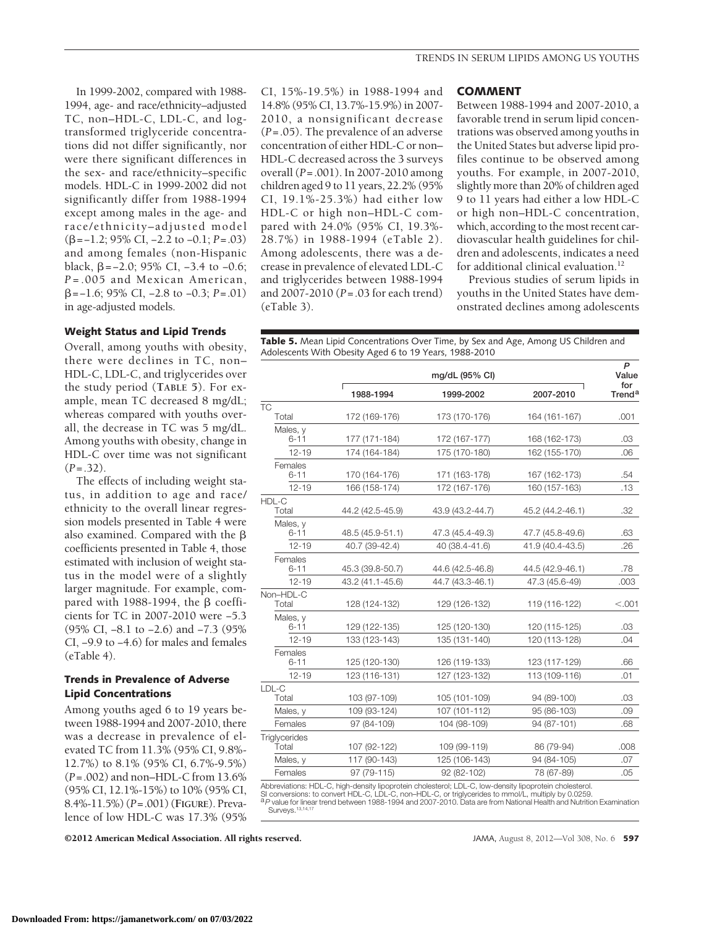In 1999-2002, compared with 1988- 1994, age- and race/ethnicity–adjusted TC, non–HDL-C, LDL-C, and logtransformed triglyceride concentrations did not differ significantly, nor were there significant differences in the sex- and race/ethnicity–specific models. HDL-C in 1999-2002 did not significantly differ from 1988-1994 except among males in the age- and race/ethnicity–adjusted model (=−1.2; 95% CI, −2.2 to −0.1; *P*=.03) and among females (non-Hispanic black,  $\beta$ =-2.0; 95% CI, -3.4 to -0.6; *P* =.005 and Mexican American, =−1.6; 95% CI, −2.8 to −0.3; *P*=.01) in age-adjusted models.

#### **Weight Status and Lipid Trends**

Overall, among youths with obesity, there were declines in TC, non– HDL-C, LDL-C, and triglycerides over the study period (**TABLE 5**). For example, mean TC decreased 8 mg/dL; whereas compared with youths overall, the decrease in TC was 5 mg/dL. Among youths with obesity, change in HDL-C over time was not significant  $(P=.32)$ .

The effects of including weight status, in addition to age and race/ ethnicity to the overall linear regression models presented in Table 4 were also examined. Compared with the  $\beta$ coefficients presented in Table 4, those estimated with inclusion of weight status in the model were of a slightly larger magnitude. For example, compared with  $1988-1994$ , the  $\beta$  coefficients for TC in 2007-2010 were −5.3 (95% CI, −8.1 to −2.6) and −7.3 (95% CI, −9.9 to −4.6) for males and females (eTable 4).

# **Trends in Prevalence of Adverse Lipid Concentrations**

Among youths aged 6 to 19 years between 1988-1994 and 2007-2010, there was a decrease in prevalence of elevated TC from 11.3% (95% CI, 9.8%- 12.7%) to 8.1% (95% CI, 6.7%-9.5%) (*P*=.002) and non–HDL-C from 13.6% (95% CI, 12.1%-15%) to 10% (95% CI, 8.4%-11.5%) (*P*=.001) (**FIGURE**). Prevalence of low HDL-C was 17.3% (95%

©2012 American Medical Association. All rights reserved. JAMA, August 8, 2012—Vol 308, No. 6 **597**

CI, 15%-19.5%) in 1988-1994 and 14.8% (95% CI, 13.7%-15.9%) in 2007- 2010, a nonsignificant decrease (*P*=.05). The prevalence of an adverse concentration of either HDL-C or non– HDL-C decreased across the 3 surveys overall (*P*=.001). In 2007-2010 among children aged 9 to 11 years, 22.2% (95% CI, 19.1%-25.3%) had either low HDL-C or high non–HDL-C compared with 24.0% (95% CI, 19.3%- 28.7%) in 1988-1994 (eTable 2). Among adolescents, there was a decrease in prevalence of elevated LDL-C and triglycerides between 1988-1994 and 2007-2010 (*P*=.03 for each trend) (eTable 3).

#### **COMMENT**

Between 1988-1994 and 2007-2010, a favorable trend in serum lipid concentrations was observed among youths in the United States but adverse lipid profiles continue to be observed among youths. For example, in 2007-2010, slightly more than 20% of children aged 9 to 11 years had either a low HDL-C or high non–HDL-C concentration, which, according to the most recent cardiovascular health guidelines for children and adolescents, indicates a need for additional clinical evaluation.<sup>12</sup>

Previous studies of serum lipids in youths in the United States have demonstrated declines among adolescents

**Table 5.** Mean Lipid Concentrations Over Time, by Sex and Age, Among US Children and Adolescents With Obesity Aged 6 to 19 Years, 1988-2010

|                               |                  | mg/dL (95% CI)                                                                                                             |                  |                           |  |  |  |  |
|-------------------------------|------------------|----------------------------------------------------------------------------------------------------------------------------|------------------|---------------------------|--|--|--|--|
|                               | 1988-1994        | 1999-2002                                                                                                                  | 2007-2010        | for<br>Trend <sup>a</sup> |  |  |  |  |
| ТĊ                            |                  |                                                                                                                            |                  |                           |  |  |  |  |
| Total                         | 172 (169-176)    | 173 (170-176)                                                                                                              | 164 (161-167)    | .001                      |  |  |  |  |
| Males, y                      |                  |                                                                                                                            |                  |                           |  |  |  |  |
| $6 - 11$                      | 177 (171-184)    | 172 (167-177)                                                                                                              | 168 (162-173)    | .03                       |  |  |  |  |
| $12 - 19$                     | 174 (164-184)    | 175 (170-180)                                                                                                              | 162 (155-170)    | .06                       |  |  |  |  |
| Females<br>$6 - 11$           | 170 (164-176)    | 171 (163-178)                                                                                                              | 167 (162-173)    | .54                       |  |  |  |  |
| $12 - 19$                     | 166 (158-174)    | 172 (167-176)                                                                                                              | 160 (157-163)    | .13                       |  |  |  |  |
| HDL-C                         |                  |                                                                                                                            |                  |                           |  |  |  |  |
| Total                         | 44.2 (42.5-45.9) | 43.9 (43.2-44.7)                                                                                                           | 45.2 (44.2-46.1) | .32                       |  |  |  |  |
| Males, y<br>$6 - 11$          | 48.5 (45.9-51.1) | 47.3 (45.4-49.3)                                                                                                           | 47.7 (45.8-49.6) | .63                       |  |  |  |  |
| $12 - 19$                     | 40.7 (39-42.4)   | 40 (38.4-41.6)                                                                                                             | 41.9 (40.4-43.5) | .26                       |  |  |  |  |
| Females<br>$6 - 11$           | 45.3 (39.8-50.7) | 44.6 (42.5-46.8)                                                                                                           | 44.5 (42.9-46.1) | .78                       |  |  |  |  |
| $12 - 19$                     | 43.2 (41.1-45.6) | 44.7 (43.3-46.1)                                                                                                           | 47.3 (45.6-49)   | .003                      |  |  |  |  |
| Non-HDL-C<br>Total            | 128 (124-132)    | 129 (126-132)                                                                                                              | 119 (116-122)    | < .001                    |  |  |  |  |
| Males, y<br>6-11              | 129 (122-135)    | 125 (120-130)                                                                                                              | 120 (115-125)    | .03                       |  |  |  |  |
| $12 - 19$                     | 133 (123-143)    | 135 (131-140)                                                                                                              | 120 (113-128)    | .04                       |  |  |  |  |
| Females<br>$6 - 11$           | 125 (120-130)    | 126 (119-133)                                                                                                              | 123 (117-129)    | .66                       |  |  |  |  |
| $12 - 19$                     | 123 (116-131)    | 127 (123-132)                                                                                                              | 113 (109-116)    | .01                       |  |  |  |  |
| LDL-C<br>Total                | 103 (97-109)     | 105 (101-109)                                                                                                              | 94 (89-100)      | .03                       |  |  |  |  |
| Males, y                      | 109 (93-124)     | 107 (101-112)                                                                                                              | 95 (86-103)      | .09                       |  |  |  |  |
| Females                       | 97 (84-109)      | 104 (98-109)                                                                                                               | 94 (87-101)      | .68                       |  |  |  |  |
| <b>Triglycerides</b><br>Total | 107 (92-122)     | 109 (99-119)                                                                                                               | 86 (79-94)       | .008                      |  |  |  |  |
| Males, y                      | 117 (90-143)     | 125 (106-143)                                                                                                              | 94 (84-105)      | .07                       |  |  |  |  |
| Females                       | 97 (79-115)      | 92 (82-102)                                                                                                                | 78 (67-89)       | .05                       |  |  |  |  |
|                               |                  | Alelena datta a c. I IDI - O. Istala alematic Reportationale alembanato I. DI - O. Incorporation Reportationale alembanato |                  |                           |  |  |  |  |

Abbreviations: HDL-C, high-density lipoprotein cholesterol; LDL-C, low-density lipoprotein cholesterol. SI conversions: to convert HDL-C, LDL-C, non–HDL-C, or triglycerides to mmol/L, multiply by 0.0259.

a*P* value for linear trend between 1988-1994 and 2007-2010. Data are from National Health and Nutrition Examination Surveys.<sup>13</sup>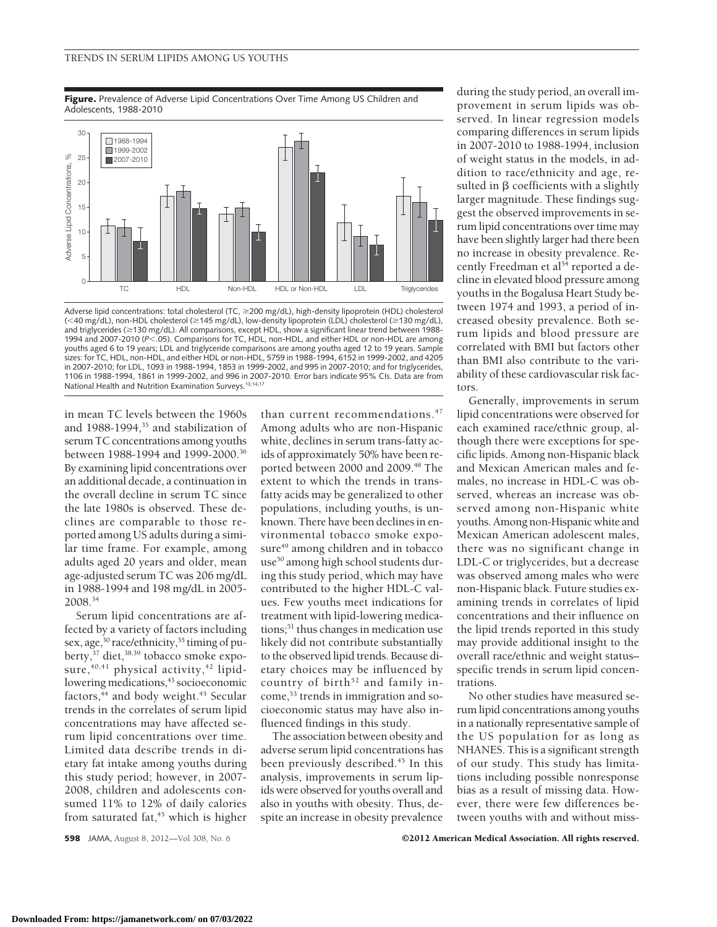**Figure.** Prevalence of Adverse Lipid Concentrations Over Time Among US Children and Adolescents, 1988-2010



Adverse lipid concentrations: total cholesterol (TC, ≥200 mg/dL), high-density lipoprotein (HDL) cholesterol (<40 mg/dL), non-HDL cholesterol (≥145 mg/dL), low-density lipoprotein (LDL) cholesterol (≥130 mg/dL), and triglycerides (≥130 mg/dL). All comparisons, except HDL, show a significant linear trend between 1988-1994 and 2007-2010 (P<.05). Comparisons for TC, HDL, non-HDL, and either HDL or non-HDL are among youths aged 6 to 19 years; LDL and triglyceride comparisons are among youths aged 12 to 19 years. Sample sizes: for TC, HDL, non-HDL, and either HDL or non-HDL, 5759 in 1988-1994, 6152 in 1999-2002, and 4205 in 2007-2010; for LDL, 1093 in 1988-1994, 1853 in 1999-2002, and 995 in 2007-2010; and for triglycerides, 1106 in 1988-1994, 1861 in 1999-2002, and 996 in 2007-2010. Error bars indicate 95% CIs. Data are from National Health and Nutrition Examination Surveys.13,14,17

in mean TC levels between the 1960s and 1988-1994,<sup>35</sup> and stabilization of serum TC concentrations among youths between 1988-1994 and 1999-2000.36 By examining lipid concentrations over an additional decade, a continuation in the overall decline in serum TC since the late 1980s is observed. These declines are comparable to those reported among US adults during a similar time frame. For example, among adults aged 20 years and older, mean age-adjusted serum TC was 206 mg/dL in 1988-1994 and 198 mg/dL in 2005- 2008.34

Serum lipid concentrations are affected by a variety of factors including sex, age,<sup>30</sup> race/ethnicity,<sup>35</sup> timing of puberty,<sup>37</sup> diet,<sup>38,39</sup> tobacco smoke exposure, $40,41$  physical activity, $42$  lipidlowering medications,<sup>43</sup> socioeconomic factors, $44$  and body weight. $45$  Secular trends in the correlates of serum lipid concentrations may have affected serum lipid concentrations over time. Limited data describe trends in dietary fat intake among youths during this study period; however, in 2007- 2008, children and adolescents consumed 11% to 12% of daily calories from saturated fat, $45$  which is higher

than current recommendations.<sup>47</sup> Among adults who are non-Hispanic white, declines in serum trans-fatty acids of approximately 50% have been reported between 2000 and 2009.<sup>48</sup> The extent to which the trends in transfatty acids may be generalized to other populations, including youths, is unknown. There have been declines in environmental tobacco smoke exposure<sup>49</sup> among children and in tobacco use<sup>50</sup> among high school students during this study period, which may have contributed to the higher HDL-C values. Few youths meet indications for treatment with lipid-lowering medications;51 thus changes in medication use likely did not contribute substantially to the observed lipid trends. Because dietary choices may be influenced by country of birth $52$  and family income,53 trends in immigration and socioeconomic status may have also influenced findings in this study.

The association between obesity and adverse serum lipid concentrations has been previously described.<sup>45</sup> In this analysis, improvements in serum lipids were observed for youths overall and also in youths with obesity. Thus, despite an increase in obesity prevalence

during the study period, an overall improvement in serum lipids was observed. In linear regression models comparing differences in serum lipids in 2007-2010 to 1988-1994, inclusion of weight status in the models, in addition to race/ethnicity and age, resulted in  $\beta$  coefficients with a slightly larger magnitude. These findings suggest the observed improvements in serum lipid concentrations over time may have been slightly larger had there been no increase in obesity prevalence. Recently Freedman et al<sup>54</sup> reported a decline in elevated blood pressure among youths in the Bogalusa Heart Study between 1974 and 1993, a period of increased obesity prevalence. Both serum lipids and blood pressure are correlated with BMI but factors other than BMI also contribute to the variability of these cardiovascular risk factors.

Generally, improvements in serum lipid concentrations were observed for each examined race/ethnic group, although there were exceptions for specific lipids. Among non-Hispanic black and Mexican American males and females, no increase in HDL-C was observed, whereas an increase was observed among non-Hispanic white youths. Among non-Hispanic white and Mexican American adolescent males, there was no significant change in LDL-C or triglycerides, but a decrease was observed among males who were non-Hispanic black. Future studies examining trends in correlates of lipid concentrations and their influence on the lipid trends reported in this study may provide additional insight to the overall race/ethnic and weight status– specific trends in serum lipid concentrations.

No other studies have measured serum lipid concentrations among youths in a nationally representative sample of the US population for as long as NHANES. This is a significant strength of our study. This study has limitations including possible nonresponse bias as a result of missing data. However, there were few differences between youths with and without miss-

**598** JAMA, August 8, 2012—Vol 308, No. 6 **Capacition Community COMA** COMBING COMBINATION CONTROLLERGY OF **COMBINAL RESERVED**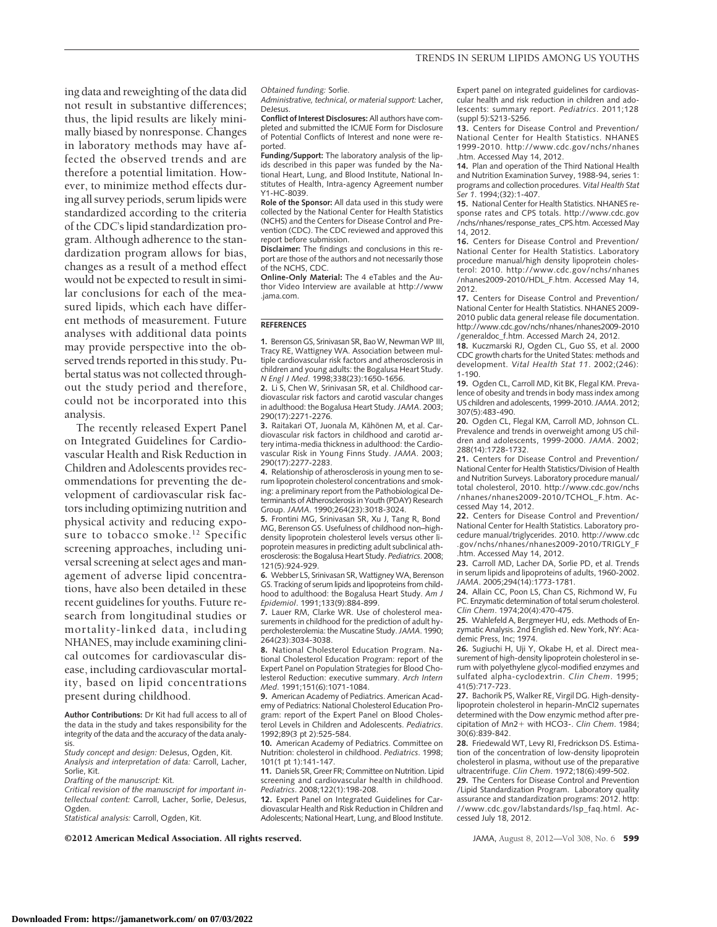ing data and reweighting of the data did not result in substantive differences; thus, the lipid results are likely minimally biased by nonresponse. Changes in laboratory methods may have affected the observed trends and are therefore a potential limitation. However, to minimize method effects during all survey periods, serum lipids were standardized according to the criteria of the CDC's lipid standardization program. Although adherence to the standardization program allows for bias, changes as a result of a method effect would not be expected to result in similar conclusions for each of the measured lipids, which each have different methods of measurement. Future analyses with additional data points may provide perspective into the observed trends reported in this study. Pubertal status was not collected throughout the study period and therefore, could not be incorporated into this analysis.

The recently released Expert Panel on Integrated Guidelines for Cardiovascular Health and Risk Reduction in Children and Adolescents provides recommendations for preventing the development of cardiovascular risk factors including optimizing nutrition and physical activity and reducing exposure to tobacco smoke.<sup>12</sup> Specific screening approaches, including universal screening at select ages and management of adverse lipid concentrations, have also been detailed in these recent guidelines for youths. Future research from longitudinal studies or mortality-linked data, including NHANES, may include examining clinical outcomes for cardiovascular disease, including cardiovascular mortality, based on lipid concentrations present during childhood.

**Author Contributions:** Dr Kit had full access to all of the data in the study and takes responsibility for the integrity of the data and the accuracy of the data analysis.

*Study concept and design:* DeJesus, Ogden, Kit. *Analysis and interpretation of data:* Carroll, Lacher, Sorlie, Kit.

*Drafting of the manuscript:* Kit.

*Critical revision of the manuscript for important intellectual content:* Carroll, Lacher, Sorlie, DeJesus, Ogden.

*Statistical analysis:* Carroll, Ogden, Kit.

*Obtained funding:* Sorlie.

*Administrative, technical, or material support:* Lacher, DeJesus.

**Conflict of Interest Disclosures:** All authors have completed and submitted the ICMJE Form for Disclosure of Potential Conflicts of Interest and none were reported.

**Funding/Support:** The laboratory analysis of the lipids described in this paper was funded by the National Heart, Lung, and Blood Institute, National Institutes of Health, Intra-agency Agreement number Y1-HC-8039.

**Role of the Sponsor:** All data used in this study were collected by the National Center for Health Statistics (NCHS) and the Centers for Disease Control and Prevention (CDC). The CDC reviewed and approved this report before submission.

**Disclaimer:** The findings and conclusions in this report are those of the authors and not necessarily those of the NCHS, CDC.

**Online-Only Material:** The 4 eTables and the Author Video Interview are available at http://www .jama.com.

#### **REFERENCES**

**1.** Berenson GS, Srinivasan SR, BaoW, NewmanWP III, Tracy RE, Wattigney WA. Association between multiple cardiovascular risk factors and atherosclerosis in children and young adults: the Bogalusa Heart Study. *N Engl J Med*. 1998;338(23):1650-1656.

**2.** Li S, Chen W, Srinivasan SR, et al. Childhood cardiovascular risk factors and carotid vascular changes in adulthood: the Bogalusa Heart Study.*JAMA*. 2003; 290(17):2271-2276.

3. Raitakari OT, Juonala M, Kähönen M, et al. Cardiovascular risk factors in childhood and carotid artery intima-media thickness in adulthood: the Cardiovascular Risk in Young Finns Study. *JAMA*. 2003; 290(17):2277-2283.

**4.** Relationship of atherosclerosis in young men to serum lipoprotein cholesterol concentrations and smoking: a preliminary report from the Pathobiological Determinants of Atherosclerosis in Youth (PDAY) Research Group. *JAMA*. 1990;264(23):3018-3024.

**5.** Frontini MG, Srinivasan SR, Xu J, Tang R, Bond MG, Berenson GS. Usefulness of childhood non–highdensity lipoprotein cholesterol levels versus other lipoprotein measures in predicting adult subclinical atherosclerosis: the Bogalusa Heart Study. *Pediatrics*. 2008; 121(5):924-929.

**6.** Webber LS, Srinivasan SR, Wattigney WA, Berenson GS. Tracking of serum lipids and lipoproteins from childhood to adulthood: the Bogalusa Heart Study. *Am J Epidemiol*. 1991;133(9):884-899.

**7.** Lauer RM, Clarke WR. Use of cholesterol measurements in childhood for the prediction of adult hypercholesterolemia: the Muscatine Study.*JAMA*. 1990; 264(23):3034-3038.

**8.** National Cholesterol Education Program. National Cholesterol Education Program: report of the Expert Panel on Population Strategies for Blood Cholesterol Reduction: executive summary. *Arch Intern Med*. 1991;151(6):1071-1084.

**9.** American Academy of Pediatrics. American Academy of Pediatrics: National Cholesterol Education Program: report of the Expert Panel on Blood Cholesterol Levels in Children and Adolescents. *Pediatrics*. 1992;89(3 pt 2):525-584.

**10.** American Academy of Pediatrics. Committee on Nutrition: cholesterol in childhood. *Pediatrics*. 1998; 101(1 pt 1):141-147.

**11.** Daniels SR, Greer FR; Committee on Nutrition. Lipid screening and cardiovascular health in childhood. *Pediatrics*. 2008;122(1):198-208.

**12.** Expert Panel on Integrated Guidelines for Cardiovascular Health and Risk Reduction in Children and Adolescents; National Heart, Lung, and Blood Institute.

Expert panel on integrated guidelines for cardiovascular health and risk reduction in children and adolescents: summary report. *Pediatrics*. 2011;128 (suppl 5):S213-S256.

**13.** Centers for Disease Control and Prevention/ National Center for Health Statistics. NHANES 1999-2010. http://www.cdc.gov/nchs/nhanes .htm. Accessed May 14, 2012.

**14.** Plan and operation of the Third National Health and Nutrition Examination Survey, 1988-94, series 1: programs and collection procedures. *Vital Health Stat Ser 1*. 1994;(32):1-407.

**15.** National Center for Health Statistics. NHANES response rates and CPS totals. http://www.cdc.gov /nchs/nhanes/response\_rates\_CPS.htm. Accessed May 14, 2012.

**16.** Centers for Disease Control and Prevention/ National Center for Health Statistics. Laboratory procedure manual/high density lipoprotein cholesterol: 2010. http://www.cdc.gov/nchs/nhanes /nhanes2009-2010/HDL\_F.htm. Accessed May 14, 2012.

**17.** Centers for Disease Control and Prevention/ National Center for Health Statistics. NHANES 2009- 2010 public data general release file documentation. http://www.cdc.gov/nchs/nhanes/nhanes2009-2010 /generaldoc\_f.htm. Accessed March 24, 2012.

**18.** Kuczmarski RJ, Ogden CL, Guo SS, et al. 2000 CDC growth charts for the United States: methods and development. *Vital Health Stat 11*. 2002;(246): 1-190.

**19.** Ogden CL, Carroll MD, Kit BK, Flegal KM. Prevalence of obesity and trends in body mass index among US children and adolescents, 1999-2010.*JAMA*. 2012; 307(5):483-490.

**20.** Ogden CL, Flegal KM, Carroll MD, Johnson CL. Prevalence and trends in overweight among US children and adolescents, 1999-2000. *JAMA*. 2002; 288(14):1728-1732.

**21.** Centers for Disease Control and Prevention/ National Center for Health Statistics/Division of Health and Nutrition Surveys. Laboratory procedure manual/ total cholesterol, 2010. http://www.cdc.gov/nchs /nhanes/nhanes2009-2010/TCHOL\_F.htm. Accessed May 14, 2012.

**22.** Centers for Disease Control and Prevention/ National Center for Health Statistics. Laboratory procedure manual/triglycerides. 2010. http://www.cdc .gov/nchs/nhanes/nhanes2009-2010/TRIGLY\_F .htm. Accessed May 14, 2012.

**23.** Carroll MD, Lacher DA, Sorlie PD, et al. Trends in serum lipids and lipoproteins of adults, 1960-2002. *JAMA*. 2005;294(14):1773-1781.

24. Allain CC, Poon LS. Chan CS. Richmond W Fu PC. Enzymatic determination of total serum cholesterol. *Clin Chem*. 1974;20(4):470-475.

**25.** Wahlefeld A, Bergmeyer HU, eds. Methods of Enzymatic Analysis. 2nd English ed. New York, NY: Academic Press, Inc; 1974.

**26.** Sugiuchi H, Uji Y, Okabe H, et al. Direct measurement of high-density lipoprotein cholesterol in serum with polyethylene glycol-modified enzymes and sulfated alpha-cyclodextrin. *Clin Chem*. 1995; 41(5):717-723.

**27.** Bachorik PS, Walker RE, Virgil DG. High-densitylipoprotein cholesterol in heparin-MnCl2 supernates determined with the Dow enzymic method after precipitation of Mn2+ with HCO<sub>3</sub>-. *Clin Chem*. 1984: 30(6):839-842.

**28.** Friedewald WT, Levy RI, Fredrickson DS. Estimation of the concentration of low-density lipoprotein cholesterol in plasma, without use of the preparative ultracentrifuge. *Clin Chem*. 1972;18(6):499-502.

**29.** The Centers for Disease Control and Prevention /Lipid Standardization Program. Laboratory quality assurance and standardization programs: 2012. http: //www.cdc.gov/labstandards/lsp\_faq.html. Accessed July 18, 2012.

©2012 American Medical Association. All rights reserved. JAMA, August 8, 2012—Vol 308, No. 6 **599**